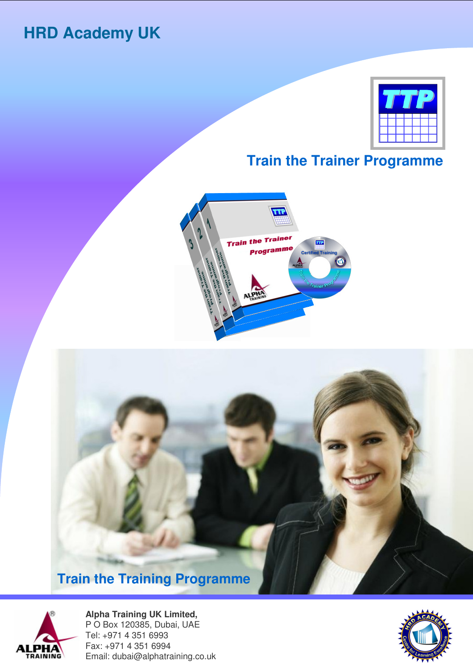# **HRD Academy UK**



# **Train the Trainer Programme**







**Alpha Training UK Limited,**  P O Box 120385, Dubai, UAE Tel: +971 4 351 6993 Fax: +971 4 351 6994 Email: dubai@alphatraining.co.uk

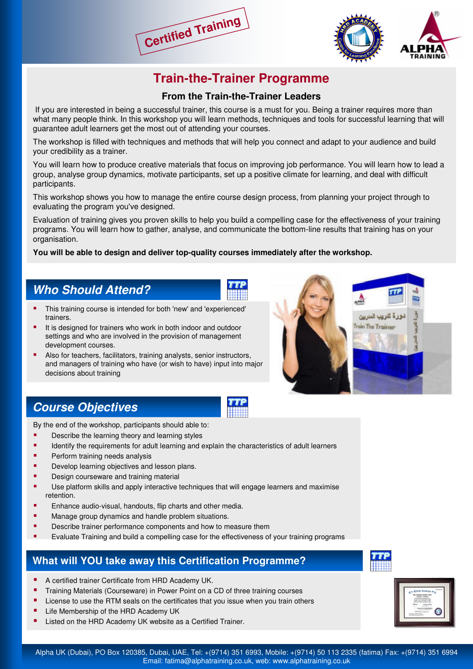



## **Train-the-Trainer Programme**

#### **From the Train-the-Trainer Leaders**

If you are interested in being a successful trainer, this course is a must for you. Being a trainer requires more than what many people think. In this workshop you will learn methods, techniques and tools for successful learning that will guarantee adult learners get the most out of attending your courses.

The workshop is filled with techniques and methods that will help you connect and adapt to your audience and build your credibility as a trainer.

You will learn how to produce creative materials that focus on improving job performance. You will learn how to lead a group, analyse group dynamics, motivate participants, set up a positive climate for learning, and deal with difficult participants.

This workshop shows you how to manage the entire course design process, from planning your project through to evaluating the program you've designed.

Evaluation of training gives you proven skills to help you build a compelling case for the effectiveness of your training programs. You will learn how to gather, analyse, and communicate the bottom-line results that training has on your organisation.

#### **You will be able to design and deliver top-quality courses immediately after the workshop.**

## **Who Should Attend?**

- This training course is intended for both 'new' and 'experienced' trainers.
- It is designed for trainers who work in both indoor and outdoor settings and who are involved in the provision of management development courses.
- Also for teachers, facilitators, training analysts, senior instructors, and managers of training who have (or wish to have) input into major decisions about training



## **Course Objectives**

By the end of the workshop, participants should able to:

- **•** Describe the learning theory and learning styles
- Identify the requirements for adult learning and explain the characteristics of adult learners
- Perform training needs analysis
- Develop learning objectives and lesson plans.
- Design courseware and training material
- Use platform skills and apply interactive techniques that will engage learners and maximise retention.
- Enhance audio-visual, handouts, flip charts and other media.
- Manage group dynamics and handle problem situations.
- Describe trainer performance components and how to measure them
- Evaluate Training and build a compelling case for the effectiveness of your training programs

#### **What will YOU take away this Certification Programme?**

- A certified trainer Certificate from HRD Academy UK.
- Training Materials (Courseware) in Power Point on a CD of three training courses
- License to use the RTM seals on the certificates that you issue when you train others
- Life Membership of the HRD Academy UK
- Listed on the HRD Academy UK website as a Certified Trainer.





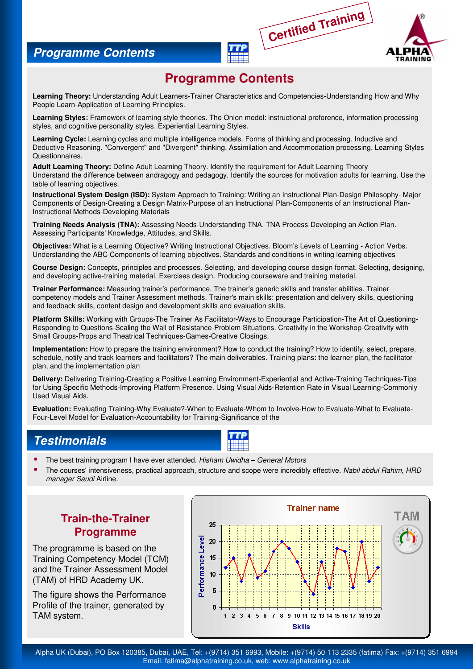### **Programme Contents**



## **Programme Contents**

**Certified Training**

**Learning Theory:** Understanding Adult Learners-Trainer Characteristics and Competencies-Understanding How and Why People Learn-Application of Learning Principles.

**Learning Styles:** Framework of learning style theories. The Onion model: instructional preference, information processing styles, and cognitive personality styles. Experiential Learning Styles.

**Learning Cycle:** Learning cycles and multiple intelligence models. Forms of thinking and processing. Inductive and Deductive Reasoning. "Convergent" and "Divergent" thinking. Assimilation and Accommodation processing. Learning Styles **Questionnaires** 

**Adult Learning Theory:** Define Adult Learning Theory. Identify the requirement for Adult Learning Theory Understand the difference between andragogy and pedagogy. Identify the sources for motivation adults for learning. Use the table of learning objectives.

**Instructional System Design (ISD):** System Approach to Training: Writing an Instructional Plan-Design Philosophy- Major Components of Design-Creating a Design Matrix-Purpose of an Instructional Plan-Components of an Instructional Plan-Instructional Methods-Developing Materials

**Training Needs Analysis (TNA):** Assessing Needs-Understanding TNA. TNA Process-Developing an Action Plan. Assessing Participants' Knowledge, Attitudes, and Skills.

**Objectives:** What is a Learning Objective? Writing Instructional Objectives. Bloom's Levels of Learning - Action Verbs. Understanding the ABC Components of learning objectives. Standards and conditions in writing learning objectives

**Course Design:** Concepts, principles and processes. Selecting, and developing course design format. Selecting, designing, and developing active-training material. Exercises design. Producing courseware and training material.

**Trainer Performance:** Measuring trainer's performance. The trainer's generic skills and transfer abilities. Trainer competency models and Trainer Assessment methods. Trainer's main skills: presentation and delivery skills, questioning and feedback skills, content design and development skills and evaluation skills.

**Platform Skills:** Working with Groups-The Trainer As Facilitator-Ways to Encourage Participation-The Art of Questioning-Responding to Questions-Scaling the Wall of Resistance-Problem Situations. Creativity in the Workshop-Creativity with Small Groups-Props and Theatrical Techniques-Games-Creative Closings.

**Implementation:** How to prepare the training environment? How to conduct the training? How to identify, select, prepare, schedule, notify and track learners and facilitators? The main deliverables. Training plans: the learner plan, the facilitator plan, and the implementation plan

**Delivery:** Delivering Training-Creating a Positive Learning Environment-Experiential and Active-Training Techniques-Tips for Using Specific Methods-Improving Platform Presence. Using Visual Aids-Retention Rate in Visual Learning-Commonly Used Visual Aids.

**Evaluation:** Evaluating Training-Why Evaluate?-When to Evaluate-Whom to Involve-How to Evaluate-What to Evaluate-Four-Level Model for Evaluation-Accountability for Training-Significance of the

## **Testimonials**



- The best training program I have ever attended. Hisham Uwidha General Motors
- The courses' intensiveness, practical approach, structure and scope were incredibly effective. Nabil abdul Rahim, HRD manager Saudi Airline.

### **Train-the-Trainer Programme**

The programme is based on the Training Competency Model (TCM) and the Trainer Assessment Model (TAM) of HRD Academy UK.

The figure shows the Performance Profile of the trainer, generated by TAM system.



Alpha UK (Dubai), PO Box 120385, Dubai, UAE, Tel: +(9714) 351 6993, Mobile: +(9714) 50 113 2335 (fatima) Fax: +(9714) 351 6994 Email: fatima@alphatraining.co.uk, web: www.alphatraining.co.uk